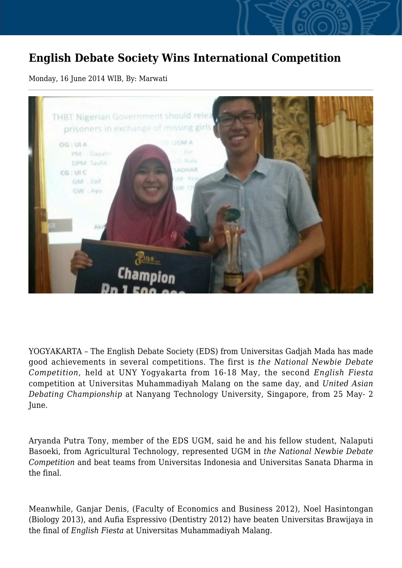## **English Debate Society Wins International Competition**

## Monday, 16 June 2014 WIB, By: Marwati



YOGYAKARTA – The English Debate Society (EDS) from Universitas Gadjah Mada has made good achievements in several competitions. The first is *the National Newbie Debate Competition*, held at UNY Yogyakarta from 16-18 May, the second *English Fiesta* competition at Universitas Muhammadiyah Malang on the same day, and *United Asian Debating Championship* at Nanyang Technology University, Singapore, from 25 May- 2 June.

Aryanda Putra Tony, member of the EDS UGM, said he and his fellow student, Nalaputi Basoeki, from Agricultural Technology, represented UGM in *the National Newbie Debate Competition* and beat teams from Universitas Indonesia and Universitas Sanata Dharma in the final.

Meanwhile, Ganjar Denis, (Faculty of Economics and Business 2012), Noel Hasintongan (Biology 2013), and Aufia Espressivo (Dentistry 2012) have beaten Universitas Brawijaya in the final of *English Fiesta* at Universitas Muhammadiyah Malang.